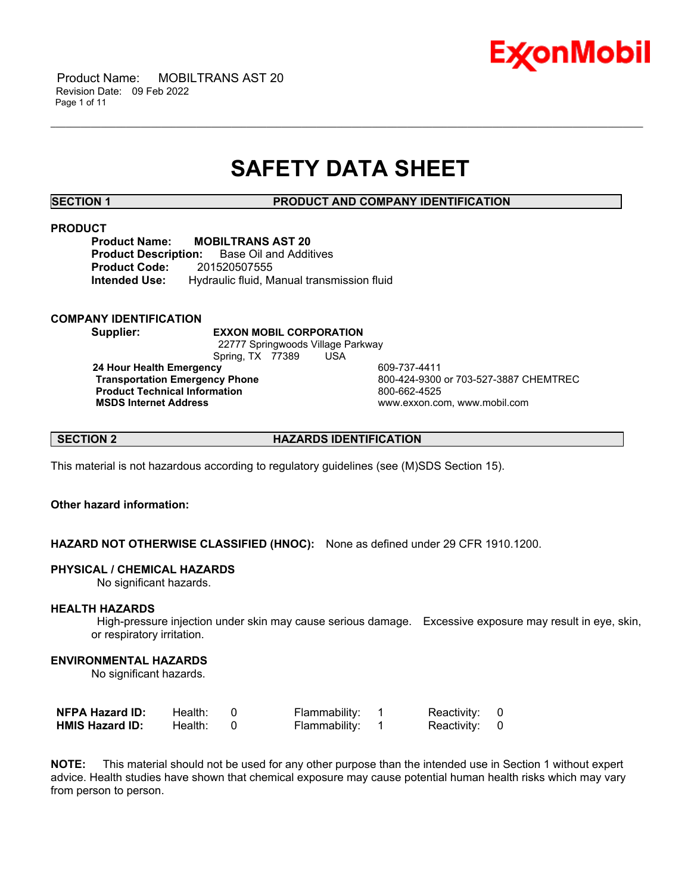

 Product Name: MOBILTRANS AST 20 Revision Date: 09 Feb 2022 Page 1 of 11

# **SAFETY DATA SHEET**

\_\_\_\_\_\_\_\_\_\_\_\_\_\_\_\_\_\_\_\_\_\_\_\_\_\_\_\_\_\_\_\_\_\_\_\_\_\_\_\_\_\_\_\_\_\_\_\_\_\_\_\_\_\_\_\_\_\_\_\_\_\_\_\_\_\_\_\_\_\_\_\_\_\_\_\_\_\_\_\_\_\_\_\_\_\_\_\_\_\_\_\_\_\_\_\_\_\_\_\_\_\_\_\_\_\_\_\_\_\_\_\_\_\_\_\_\_\_

**SECTION 1 PRODUCT AND COMPANY IDENTIFICATION**

### **PRODUCT**

**Product Name: MOBILTRANS AST 20 Product Description:** Base Oil and Additives **Product Code:** 201520507555 **Intended Use:** Hydraulic fluid, Manual transmission fluid

### **COMPANY IDENTIFICATION**

**Supplier: EXXON MOBIL CORPORATION**

22777 Springwoods Village Parkway Spring, TX 77389 USA

**24 Hour Health Emergency** 609-737-4411 **Product Technical Information**<br> **MSDS Internet Address**<br> **MSDS Internet Address** 

**Transportation Emergency Phone** 800-424-9300 or 703-527-3887 CHEMTREC **MSDS Internet Address** www.exxon.com, www.mobil.com

**SECTION 2 HAZARDS IDENTIFICATION**

This material is not hazardous according to regulatory guidelines (see (M)SDS Section 15).

# **Other hazard information:**

**HAZARD NOT OTHERWISE CLASSIFIED (HNOC):** None as defined under 29 CFR 1910.1200.

# **PHYSICAL / CHEMICAL HAZARDS**

No significant hazards.

# **HEALTH HAZARDS**

High-pressure injection under skin may cause serious damage. Excessive exposure may result in eye, skin, or respiratory irritation.

### **ENVIRONMENTAL HAZARDS**

No significant hazards.

| <b>NFPA Hazard ID:</b> | Health: | Flammability: | Reactivity: 0 |  |
|------------------------|---------|---------------|---------------|--|
| <b>HMIS Hazard ID:</b> | Health: | Flammability: | Reactivity: 0 |  |

**NOTE:** This material should not be used for any other purpose than the intended use in Section 1 without expert advice. Health studies have shown that chemical exposure may cause potential human health risks which may vary from person to person.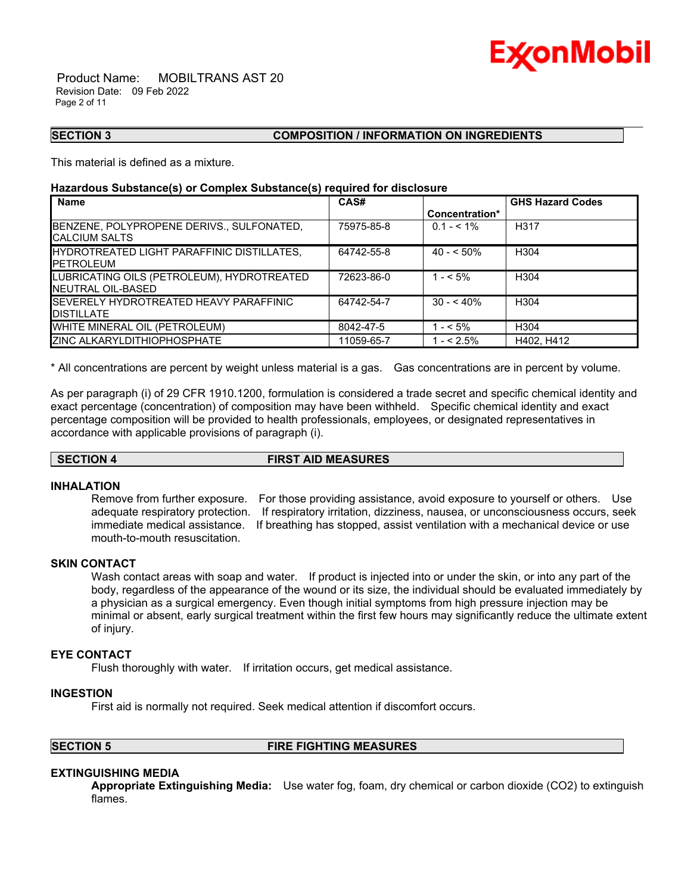

 Product Name: MOBILTRANS AST 20 Revision Date: 09 Feb 2022 Page 2 of 11

# **SECTION 3 COMPOSITION / INFORMATION ON INGREDIENTS**

This material is defined as a mixture.

# **Hazardous Substance(s) or Complex Substance(s) required for disclosure**

| <b>Name</b>                                                          | CAS#       |                | <b>GHS Hazard Codes</b> |
|----------------------------------------------------------------------|------------|----------------|-------------------------|
|                                                                      |            | Concentration* |                         |
| BENZENE, POLYPROPENE DERIVS., SULFONATED,<br><b>ICALCIUM SALTS</b>   | 75975-85-8 | $0.1 - 5.1\%$  | H <sub>3</sub> 17       |
| HYDROTREATED LIGHT PARAFFINIC DISTILLATES,<br><b>IPETROLEUM</b>      | 64742-55-8 | $40 - 50\%$    | H304                    |
| LUBRICATING OILS (PETROLEUM), HYDROTREATED<br>INEUTRAL OIL-BASED     | 72623-86-0 | $1 - 5\%$      | H304                    |
| <b>ISEVERELY HYDROTREATED HEAVY PARAFFINIC</b><br><b>IDISTILLATE</b> | 64742-54-7 | $30 - 40\%$    | H304                    |
| WHITE MINERAL OIL (PETROLEUM)                                        | 8042-47-5  | $- < 5\%$      | H304                    |
| <b>ZINC ALKARYLDITHIOPHOSPHATE</b>                                   | 11059-65-7 | $- < 2.5\%$    | H402, H412              |

\_\_\_\_\_\_\_\_\_\_\_\_\_\_\_\_\_\_\_\_\_\_\_\_\_\_\_\_\_\_\_\_\_\_\_\_\_\_\_\_\_\_\_\_\_\_\_\_\_\_\_\_\_\_\_\_\_\_\_\_\_\_\_\_\_\_\_\_\_\_\_\_\_\_\_\_\_\_\_\_\_\_\_\_\_\_\_\_\_\_\_\_\_\_\_\_\_\_\_\_\_\_\_\_\_\_\_\_\_\_\_\_\_\_\_\_\_\_

\* All concentrations are percent by weight unless material is a gas. Gas concentrations are in percent by volume.

As per paragraph (i) of 29 CFR 1910.1200, formulation is considered a trade secret and specific chemical identity and exact percentage (concentration) of composition may have been withheld. Specific chemical identity and exact percentage composition will be provided to health professionals, employees, or designated representatives in accordance with applicable provisions of paragraph (i).

# **SECTION 4 FIRST AID MEASURES**

# **INHALATION**

Remove from further exposure. For those providing assistance, avoid exposure to yourself or others. Use adequate respiratory protection. If respiratory irritation, dizziness, nausea, or unconsciousness occurs, seek immediate medical assistance. If breathing has stopped, assist ventilation with a mechanical device or use mouth-to-mouth resuscitation.

# **SKIN CONTACT**

Wash contact areas with soap and water. If product is injected into or under the skin, or into any part of the body, regardless of the appearance of the wound or its size, the individual should be evaluated immediately by a physician as a surgical emergency. Even though initial symptoms from high pressure injection may be minimal or absent, early surgical treatment within the first few hours may significantly reduce the ultimate extent of injury.

# **EYE CONTACT**

Flush thoroughly with water. If irritation occurs, get medical assistance.

#### **INGESTION**

First aid is normally not required. Seek medical attention if discomfort occurs.

### **SECTION 5 FIRE FIGHTING MEASURES**

# **EXTINGUISHING MEDIA**

**Appropriate Extinguishing Media:** Use water fog, foam, dry chemical or carbon dioxide (CO2) to extinguish flames.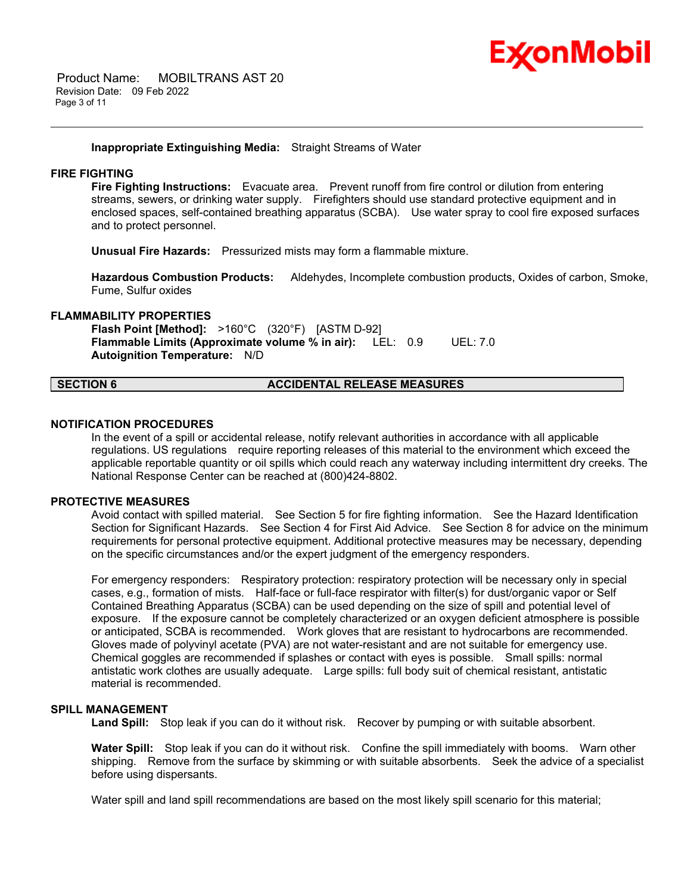

### **Inappropriate Extinguishing Media:** Straight Streams of Water

# **FIRE FIGHTING**

**Fire Fighting Instructions:** Evacuate area. Prevent runoff from fire control or dilution from entering streams, sewers, or drinking water supply. Firefighters should use standard protective equipment and in enclosed spaces, self-contained breathing apparatus (SCBA). Use water spray to cool fire exposed surfaces and to protect personnel.

\_\_\_\_\_\_\_\_\_\_\_\_\_\_\_\_\_\_\_\_\_\_\_\_\_\_\_\_\_\_\_\_\_\_\_\_\_\_\_\_\_\_\_\_\_\_\_\_\_\_\_\_\_\_\_\_\_\_\_\_\_\_\_\_\_\_\_\_\_\_\_\_\_\_\_\_\_\_\_\_\_\_\_\_\_\_\_\_\_\_\_\_\_\_\_\_\_\_\_\_\_\_\_\_\_\_\_\_\_\_\_\_\_\_\_\_\_\_

**Unusual Fire Hazards:** Pressurized mists may form a flammable mixture.

**Hazardous Combustion Products:** Aldehydes, Incomplete combustion products, Oxides of carbon, Smoke, Fume, Sulfur oxides

#### **FLAMMABILITY PROPERTIES**

**Flash Point [Method]:** >160°C (320°F) [ASTM D-92] **Flammable Limits (Approximate volume % in air):** LEL: 0.9 UEL: 7.0 **Autoignition Temperature:** N/D

#### **SECTION 6 ACCIDENTAL RELEASE MEASURES**

#### **NOTIFICATION PROCEDURES**

In the event of a spill or accidental release, notify relevant authorities in accordance with all applicable regulations. US regulations require reporting releases of this material to the environment which exceed the applicable reportable quantity or oil spills which could reach any waterway including intermittent dry creeks. The National Response Center can be reached at (800)424-8802.

# **PROTECTIVE MEASURES**

Avoid contact with spilled material. See Section 5 for fire fighting information. See the Hazard Identification Section for Significant Hazards. See Section 4 for First Aid Advice. See Section 8 for advice on the minimum requirements for personal protective equipment. Additional protective measures may be necessary, depending on the specific circumstances and/or the expert judgment of the emergency responders.

For emergency responders: Respiratory protection: respiratory protection will be necessary only in special cases, e.g., formation of mists. Half-face or full-face respirator with filter(s) for dust/organic vapor or Self Contained Breathing Apparatus (SCBA) can be used depending on the size of spill and potential level of exposure. If the exposure cannot be completely characterized or an oxygen deficient atmosphere is possible or anticipated, SCBA is recommended. Work gloves that are resistant to hydrocarbons are recommended. Gloves made of polyvinyl acetate (PVA) are not water-resistant and are not suitable for emergency use. Chemical goggles are recommended if splashes or contact with eyes is possible. Small spills: normal antistatic work clothes are usually adequate. Large spills: full body suit of chemical resistant, antistatic material is recommended.

# **SPILL MANAGEMENT**

**Land Spill:** Stop leak if you can do it without risk. Recover by pumping or with suitable absorbent.

**Water Spill:** Stop leak if you can do it without risk. Confine the spill immediately with booms. Warn other shipping. Remove from the surface by skimming or with suitable absorbents. Seek the advice of a specialist before using dispersants.

Water spill and land spill recommendations are based on the most likely spill scenario for this material;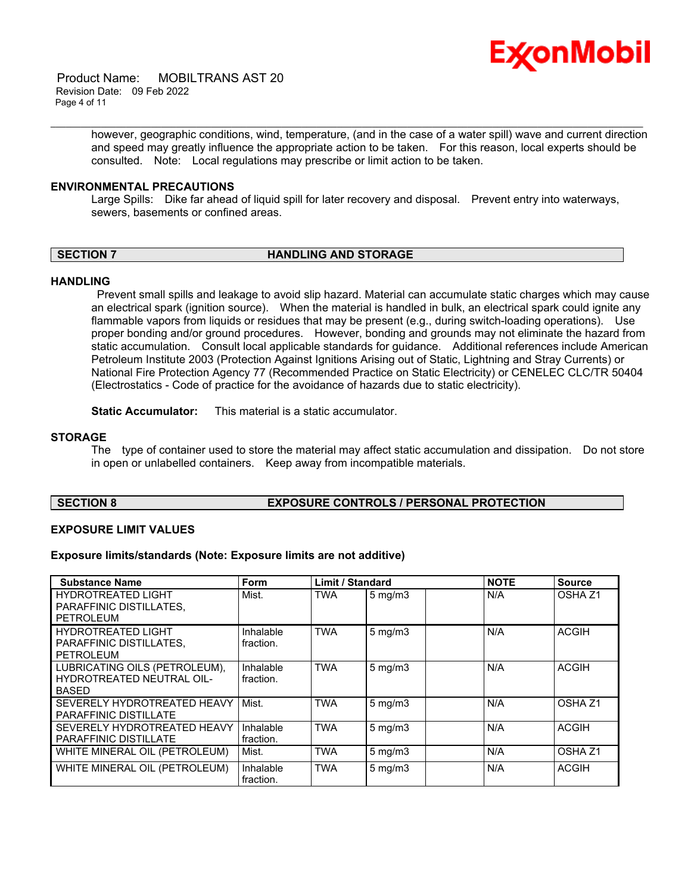

 Product Name: MOBILTRANS AST 20 Revision Date: 09 Feb 2022 Page 4 of 11

> however, geographic conditions, wind, temperature, (and in the case of a water spill) wave and current direction and speed may greatly influence the appropriate action to be taken. For this reason, local experts should be consulted. Note: Local regulations may prescribe or limit action to be taken.

#### **ENVIRONMENTAL PRECAUTIONS**

Large Spills: Dike far ahead of liquid spill for later recovery and disposal. Prevent entry into waterways, sewers, basements or confined areas.

\_\_\_\_\_\_\_\_\_\_\_\_\_\_\_\_\_\_\_\_\_\_\_\_\_\_\_\_\_\_\_\_\_\_\_\_\_\_\_\_\_\_\_\_\_\_\_\_\_\_\_\_\_\_\_\_\_\_\_\_\_\_\_\_\_\_\_\_\_\_\_\_\_\_\_\_\_\_\_\_\_\_\_\_\_\_\_\_\_\_\_\_\_\_\_\_\_\_\_\_\_\_\_\_\_\_\_\_\_\_\_\_\_\_\_\_\_\_

# **SECTION 7 HANDLING AND STORAGE**

# **HANDLING**

Prevent small spills and leakage to avoid slip hazard. Material can accumulate static charges which may cause an electrical spark (ignition source). When the material is handled in bulk, an electrical spark could ignite any flammable vapors from liquids or residues that may be present (e.g., during switch-loading operations). Use proper bonding and/or ground procedures. However, bonding and grounds may not eliminate the hazard from static accumulation. Consult local applicable standards for guidance. Additional references include American Petroleum Institute 2003 (Protection Against Ignitions Arising out of Static, Lightning and Stray Currents) or National Fire Protection Agency 77 (Recommended Practice on Static Electricity) or CENELEC CLC/TR 50404 (Electrostatics - Code of practice for the avoidance of hazards due to static electricity).

**Static Accumulator:** This material is a static accumulator.

### **STORAGE**

The type of container used to store the material may affect static accumulation and dissipation. Do not store in open or unlabelled containers. Keep away from incompatible materials.

# **SECTION 8 EXPOSURE CONTROLS / PERSONAL PROTECTION**

#### **EXPOSURE LIMIT VALUES**

**Exposure limits/standards (Note: Exposure limits are not additive)**

| <b>Substance Name</b>                                                      | Form                   | <b>Limit / Standard</b> |                  | <b>NOTE</b> | <b>Source</b>      |
|----------------------------------------------------------------------------|------------------------|-------------------------|------------------|-------------|--------------------|
| <b>HYDROTREATED LIGHT</b><br>PARAFFINIC DISTILLATES,<br><b>PETROLEUM</b>   | Mist.                  | <b>TWA</b>              | $5$ mg/m $3$     | N/A         | OSHA <sub>Z1</sub> |
| <b>HYDROTREATED LIGHT</b><br>PARAFFINIC DISTILLATES,<br>PETROLEUM          | Inhalable<br>fraction. | <b>TWA</b>              | $5 \text{ mg/m}$ | N/A         | <b>ACGIH</b>       |
| LUBRICATING OILS (PETROLEUM),<br>HYDROTREATED NEUTRAL OIL-<br><b>BASED</b> | Inhalable<br>fraction. | <b>TWA</b>              | $5 \text{ mg/m}$ | N/A         | <b>ACGIH</b>       |
| SEVERELY HYDROTREATED HEAVY<br><b>PARAFFINIC DISTILLATE</b>                | Mist.                  | <b>TWA</b>              | $5 \text{ mg/m}$ | N/A         | OSHA <sub>Z1</sub> |
| SEVERELY HYDROTREATED HEAVY<br><b>PARAFFINIC DISTILLATE</b>                | Inhalable<br>fraction. | <b>TWA</b>              | $5 \text{ mg/m}$ | N/A         | <b>ACGIH</b>       |
| WHITE MINERAL OIL (PETROLEUM)                                              | Mist.                  | <b>TWA</b>              | $5 \text{ mg/m}$ | N/A         | OSHA <sub>Z1</sub> |
| WHITE MINERAL OIL (PETROLEUM)                                              | Inhalable<br>fraction. | <b>TWA</b>              | $5 \text{ mg/m}$ | N/A         | <b>ACGIH</b>       |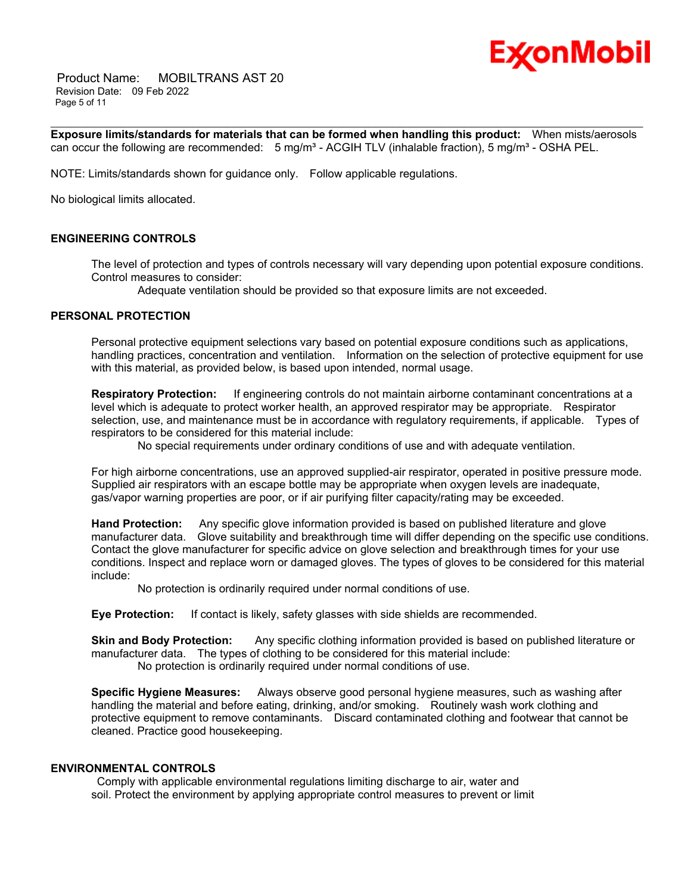

 Product Name: MOBILTRANS AST 20 Revision Date: 09 Feb 2022 Page 5 of 11

\_\_\_\_\_\_\_\_\_\_\_\_\_\_\_\_\_\_\_\_\_\_\_\_\_\_\_\_\_\_\_\_\_\_\_\_\_\_\_\_\_\_\_\_\_\_\_\_\_\_\_\_\_\_\_\_\_\_\_\_\_\_\_\_\_\_\_\_\_\_\_\_\_\_\_\_\_\_\_\_\_\_\_\_\_\_\_\_\_\_\_\_\_\_\_\_\_\_\_\_\_\_\_\_\_\_\_\_\_\_\_\_\_\_\_\_\_\_ **Exposure limits/standards for materials that can be formed when handling this product:** When mists/aerosols can occur the following are recommended:  $5 \text{ mg/m}^3$  - ACGIH TLV (inhalable fraction),  $5 \text{ mg/m}^3$  - OSHA PEL.

NOTE: Limits/standards shown for guidance only. Follow applicable regulations.

No biological limits allocated.

# **ENGINEERING CONTROLS**

The level of protection and types of controls necessary will vary depending upon potential exposure conditions. Control measures to consider:

Adequate ventilation should be provided so that exposure limits are not exceeded.

# **PERSONAL PROTECTION**

Personal protective equipment selections vary based on potential exposure conditions such as applications, handling practices, concentration and ventilation. Information on the selection of protective equipment for use with this material, as provided below, is based upon intended, normal usage.

**Respiratory Protection:** If engineering controls do not maintain airborne contaminant concentrations at a level which is adequate to protect worker health, an approved respirator may be appropriate. Respirator selection, use, and maintenance must be in accordance with regulatory requirements, if applicable. Types of respirators to be considered for this material include:

No special requirements under ordinary conditions of use and with adequate ventilation.

For high airborne concentrations, use an approved supplied-air respirator, operated in positive pressure mode. Supplied air respirators with an escape bottle may be appropriate when oxygen levels are inadequate, gas/vapor warning properties are poor, or if air purifying filter capacity/rating may be exceeded.

**Hand Protection:** Any specific glove information provided is based on published literature and glove manufacturer data. Glove suitability and breakthrough time will differ depending on the specific use conditions. Contact the glove manufacturer for specific advice on glove selection and breakthrough times for your use conditions. Inspect and replace worn or damaged gloves. The types of gloves to be considered for this material include:

No protection is ordinarily required under normal conditions of use.

**Eye Protection:** If contact is likely, safety glasses with side shields are recommended.

**Skin and Body Protection:** Any specific clothing information provided is based on published literature or manufacturer data. The types of clothing to be considered for this material include: No protection is ordinarily required under normal conditions of use.

**Specific Hygiene Measures:** Always observe good personal hygiene measures, such as washing after handling the material and before eating, drinking, and/or smoking. Routinely wash work clothing and protective equipment to remove contaminants. Discard contaminated clothing and footwear that cannot be cleaned. Practice good housekeeping.

# **ENVIRONMENTAL CONTROLS**

Comply with applicable environmental regulations limiting discharge to air, water and soil. Protect the environment by applying appropriate control measures to prevent or limit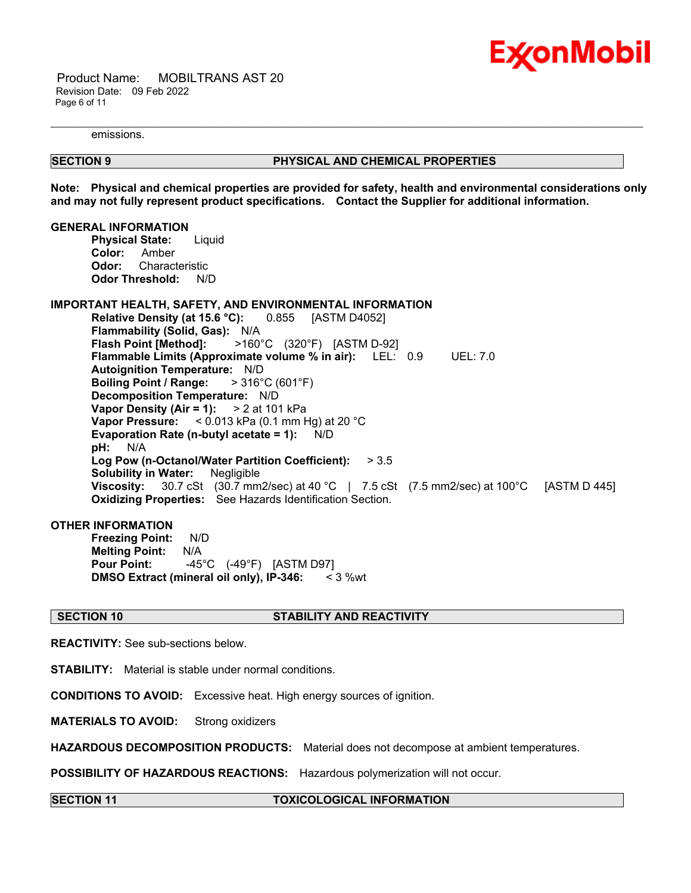

 Product Name: MOBILTRANS AST 20 Revision Date: 09 Feb 2022 Page 6 of 11

emissions.

# **SECTION 9 PHYSICAL AND CHEMICAL PROPERTIES**

**Note: Physical and chemical properties are provided for safety, health and environmental considerations only and may not fully represent product specifications. Contact the Supplier for additional information.**

\_\_\_\_\_\_\_\_\_\_\_\_\_\_\_\_\_\_\_\_\_\_\_\_\_\_\_\_\_\_\_\_\_\_\_\_\_\_\_\_\_\_\_\_\_\_\_\_\_\_\_\_\_\_\_\_\_\_\_\_\_\_\_\_\_\_\_\_\_\_\_\_\_\_\_\_\_\_\_\_\_\_\_\_\_\_\_\_\_\_\_\_\_\_\_\_\_\_\_\_\_\_\_\_\_\_\_\_\_\_\_\_\_\_\_\_\_\_

#### **GENERAL INFORMATION**

**Physical State:** Liquid **Color:** Amber **Odor:** Characteristic **Odor Threshold:** N/D

# **IMPORTANT HEALTH, SAFETY, AND ENVIRONMENTAL INFORMATION**

**Relative Density (at 15.6 °C):** 0.855 [ASTM D4052] **Flammability (Solid, Gas):** N/A **Flash Point [Method]:** >160°C (320°F) [ASTM D-92] **Flammable Limits (Approximate volume % in air):** LEL: 0.9 UEL: 7.0 **Autoignition Temperature:** N/D **Boiling Point / Range:** > 316°C (601°F) **Decomposition Temperature:** N/D **Vapor Density (Air = 1):** > 2 at 101 kPa **Vapor Pressure:** < 0.013 kPa (0.1 mm Hg) at 20 °C **Evaporation Rate (n-butyl acetate = 1):** N/D **pH:** N/A **Log Pow (n-Octanol/Water Partition Coefficient):** > 3.5 **Solubility in Water:** Negligible **Viscosity:** 30.7 cSt (30.7 mm2/sec) at 40 °C | 7.5 cSt (7.5 mm2/sec) at 100°C [ASTM D 445] **Oxidizing Properties:** See Hazards Identification Section.

#### **OTHER INFORMATION**

**Freezing Point:** N/D **Melting Point:** N/A **Pour Point:** -45°C (-49°F) [ASTM D97] **DMSO Extract (mineral oil only), IP-346:** < 3 %wt

# **SECTION 10 STABILITY AND REACTIVITY**

**REACTIVITY:** See sub-sections below.

**STABILITY:** Material is stable under normal conditions.

**CONDITIONS TO AVOID:** Excessive heat. High energy sources of ignition.

**MATERIALS TO AVOID:** Strong oxidizers

**HAZARDOUS DECOMPOSITION PRODUCTS:** Material does not decompose at ambient temperatures.

**POSSIBILITY OF HAZARDOUS REACTIONS:** Hazardous polymerization will not occur.

#### **SECTION 11 TOXICOLOGICAL INFORMATION**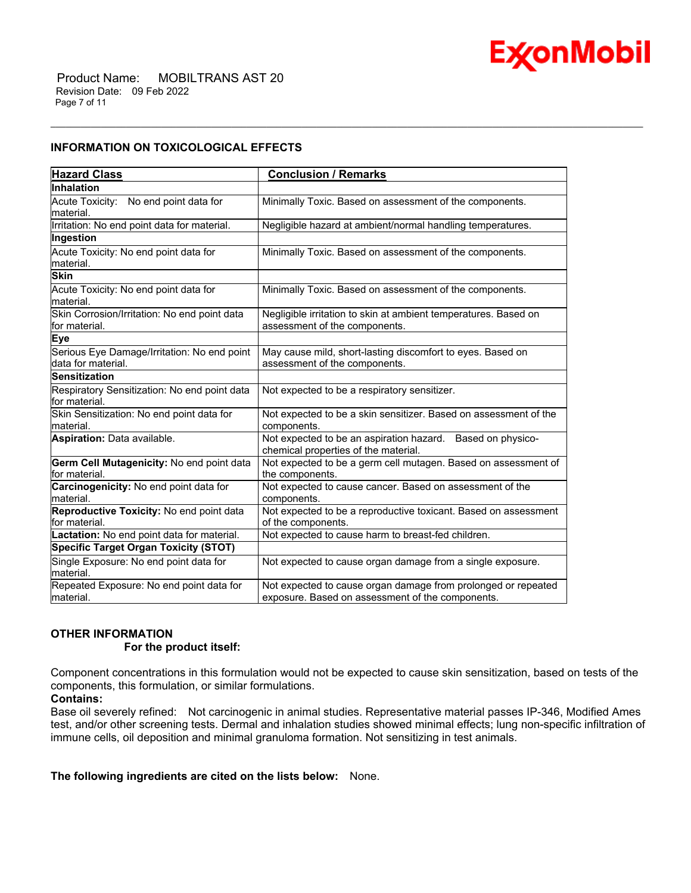

# **INFORMATION ON TOXICOLOGICAL EFFECTS**

| <b>Hazard Class</b>                                               | <b>Conclusion / Remarks</b>                                                                                       |
|-------------------------------------------------------------------|-------------------------------------------------------------------------------------------------------------------|
| <b>Inhalation</b>                                                 |                                                                                                                   |
| Acute Toxicity: No end point data for<br>material.                | Minimally Toxic. Based on assessment of the components.                                                           |
| Irritation: No end point data for material.                       | Negligible hazard at ambient/normal handling temperatures.                                                        |
| Ingestion                                                         |                                                                                                                   |
| Acute Toxicity: No end point data for<br>material.                | Minimally Toxic. Based on assessment of the components.                                                           |
| <b>Skin</b>                                                       |                                                                                                                   |
| Acute Toxicity: No end point data for<br>material.                | Minimally Toxic. Based on assessment of the components.                                                           |
| Skin Corrosion/Irritation: No end point data<br>for material.     | Negligible irritation to skin at ambient temperatures. Based on<br>assessment of the components.                  |
| <b>Eye</b>                                                        |                                                                                                                   |
| Serious Eye Damage/Irritation: No end point<br>data for material. | May cause mild, short-lasting discomfort to eyes. Based on<br>assessment of the components                        |
| <b>Sensitization</b>                                              |                                                                                                                   |
| Respiratory Sensitization: No end point data<br>for material.     | Not expected to be a respiratory sensitizer.                                                                      |
| Skin Sensitization: No end point data for<br>material.            | Not expected to be a skin sensitizer. Based on assessment of the<br>components.                                   |
| Aspiration: Data available.                                       | Not expected to be an aspiration hazard. Based on physico-<br>chemical properties of the material.                |
| Germ Cell Mutagenicity: No end point data<br>for material.        | Not expected to be a germ cell mutagen. Based on assessment of<br>the components.                                 |
| Carcinogenicity: No end point data for<br>material.               | Not expected to cause cancer. Based on assessment of the<br>components.                                           |
| Reproductive Toxicity: No end point data<br>for material.         | Not expected to be a reproductive toxicant. Based on assessment<br>of the components.                             |
| Lactation: No end point data for material.                        | Not expected to cause harm to breast-fed children.                                                                |
| <b>Specific Target Organ Toxicity (STOT)</b>                      |                                                                                                                   |
| Single Exposure: No end point data for<br>material.               | Not expected to cause organ damage from a single exposure.                                                        |
| Repeated Exposure: No end point data for<br>material.             | Not expected to cause organ damage from prolonged or repeated<br>exposure. Based on assessment of the components. |

\_\_\_\_\_\_\_\_\_\_\_\_\_\_\_\_\_\_\_\_\_\_\_\_\_\_\_\_\_\_\_\_\_\_\_\_\_\_\_\_\_\_\_\_\_\_\_\_\_\_\_\_\_\_\_\_\_\_\_\_\_\_\_\_\_\_\_\_\_\_\_\_\_\_\_\_\_\_\_\_\_\_\_\_\_\_\_\_\_\_\_\_\_\_\_\_\_\_\_\_\_\_\_\_\_\_\_\_\_\_\_\_\_\_\_\_\_\_

# **OTHER INFORMATION**

#### **For the product itself:**

Component concentrations in this formulation would not be expected to cause skin sensitization, based on tests of the components, this formulation, or similar formulations.

# **Contains:**

Base oil severely refined: Not carcinogenic in animal studies. Representative material passes IP-346, Modified Ames test, and/or other screening tests. Dermal and inhalation studies showed minimal effects; lung non-specific infiltration of immune cells, oil deposition and minimal granuloma formation. Not sensitizing in test animals.

# **The following ingredients are cited on the lists below:** None.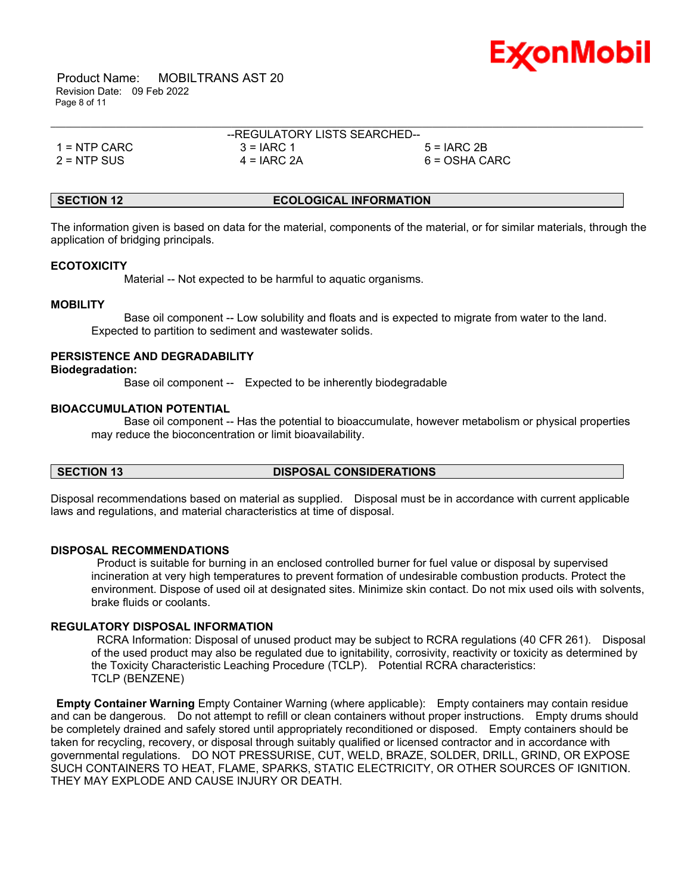

 Product Name: MOBILTRANS AST 20 Revision Date: 09 Feb 2022 Page 8 of 11

|                | --REGULATORY LISTS SEARCHED-- |                 |  |
|----------------|-------------------------------|-----------------|--|
| $1 =$ NTP CARC | $3 = IARC 1$                  | $5 = IARC 2B$   |  |
| 2 = NTP SUS    | $4 = IARC 2A$                 | $6 = OSHA CARC$ |  |

# **SECTION 12 ECOLOGICAL INFORMATION**

The information given is based on data for the material, components of the material, or for similar materials, through the application of bridging principals.

# **ECOTOXICITY**

Material -- Not expected to be harmful to aquatic organisms.

#### **MOBILITY**

 Base oil component -- Low solubility and floats and is expected to migrate from water to the land. Expected to partition to sediment and wastewater solids.

#### **PERSISTENCE AND DEGRADABILITY**

**Biodegradation:**

Base oil component -- Expected to be inherently biodegradable

# **BIOACCUMULATION POTENTIAL**

 Base oil component -- Has the potential to bioaccumulate, however metabolism or physical properties may reduce the bioconcentration or limit bioavailability.

# **SECTION 13 DISPOSAL CONSIDERATIONS**

Disposal recommendations based on material as supplied. Disposal must be in accordance with current applicable laws and regulations, and material characteristics at time of disposal.

#### **DISPOSAL RECOMMENDATIONS**

Product is suitable for burning in an enclosed controlled burner for fuel value or disposal by supervised incineration at very high temperatures to prevent formation of undesirable combustion products. Protect the environment. Dispose of used oil at designated sites. Minimize skin contact. Do not mix used oils with solvents, brake fluids or coolants.

# **REGULATORY DISPOSAL INFORMATION**

RCRA Information: Disposal of unused product may be subject to RCRA regulations (40 CFR 261). Disposal of the used product may also be regulated due to ignitability, corrosivity, reactivity or toxicity as determined by the Toxicity Characteristic Leaching Procedure (TCLP). Potential RCRA characteristics: TCLP (BENZENE)

**Empty Container Warning** Empty Container Warning (where applicable): Empty containers may contain residue and can be dangerous. Do not attempt to refill or clean containers without proper instructions. Empty drums should be completely drained and safely stored until appropriately reconditioned or disposed. Empty containers should be taken for recycling, recovery, or disposal through suitably qualified or licensed contractor and in accordance with governmental regulations. DO NOT PRESSURISE, CUT, WELD, BRAZE, SOLDER, DRILL, GRIND, OR EXPOSE SUCH CONTAINERS TO HEAT, FLAME, SPARKS, STATIC ELECTRICITY, OR OTHER SOURCES OF IGNITION. THEY MAY EXPLODE AND CAUSE INJURY OR DEATH.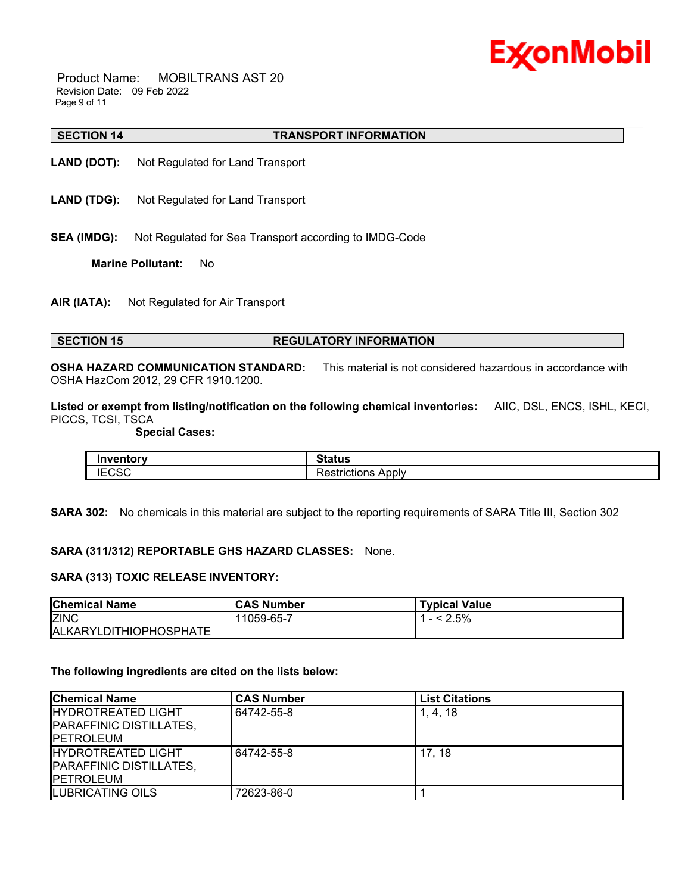

 Product Name: MOBILTRANS AST 20 Revision Date: 09 Feb 2022 Page 9 of 11

#### \_\_\_\_\_\_\_\_\_\_\_\_\_\_\_\_\_\_\_\_\_\_\_\_\_\_\_\_\_\_\_\_\_\_\_\_\_\_\_\_\_\_\_\_\_\_\_\_\_\_\_\_\_\_\_\_\_\_\_\_\_\_\_\_\_\_\_\_\_\_\_\_\_\_\_\_\_\_\_\_\_\_\_\_\_\_\_\_\_\_\_\_\_\_\_\_\_\_\_\_\_\_\_\_\_\_\_\_\_\_\_\_\_\_\_\_\_\_ **SECTION 14 TRANSPORT INFORMATION**

- **LAND (DOT):** Not Regulated for Land Transport
- **LAND (TDG):** Not Regulated for Land Transport
- **SEA (IMDG):** Not Regulated for Sea Transport according to IMDG-Code

**Marine Pollutant:** No

**AIR (IATA):** Not Regulated for Air Transport

# **SECTION 15 REGULATORY INFORMATION**

**OSHA HAZARD COMMUNICATION STANDARD:** This material is not considered hazardous in accordance with OSHA HazCom 2012, 29 CFR 1910.1200.

**Listed or exempt from listing/notification on the following chemical inventories:** AIIC, DSL, ENCS, ISHL, KECI, PICCS, TCSI, TSCA

 **Special Cases:**

| Inventorv<br>----- | ີ*atus                       |
|--------------------|------------------------------|
| $\sim$<br>טכי '    | -<br>Apply<br>ïctions<br>- 1 |

**SARA 302:** No chemicals in this material are subject to the reporting requirements of SARA Title III, Section 302

#### **SARA (311/312) REPORTABLE GHS HAZARD CLASSES:** None.

### **SARA (313) TOXIC RELEASE INVENTORY:**

| <b>Chemical Name</b>          | <b>CAS Number</b> | <b>Typical Value</b> |
|-------------------------------|-------------------|----------------------|
| <b>ZINC</b>                   | 11059-65-7        | $- < 2.5\%$          |
| <b>ALKARYLDITHIOPHOSPHATE</b> |                   |                      |

#### **The following ingredients are cited on the lists below:**

| <b>Chemical Name</b>                                                              | <b>CAS Number</b> | <b>List Citations</b> |
|-----------------------------------------------------------------------------------|-------------------|-----------------------|
| <b>HYDROTREATED LIGHT</b><br><b>PARAFFINIC DISTILLATES,</b><br><b>IPETROLEUM</b>  | 64742-55-8        | 1, 4, 18              |
| <b>IHYDROTREATED LIGHT</b><br><b>PARAFFINIC DISTILLATES,</b><br><b>IPETROLEUM</b> | 64742-55-8        | 17.18                 |
| LUBRICATING OILS                                                                  | 72623-86-0        |                       |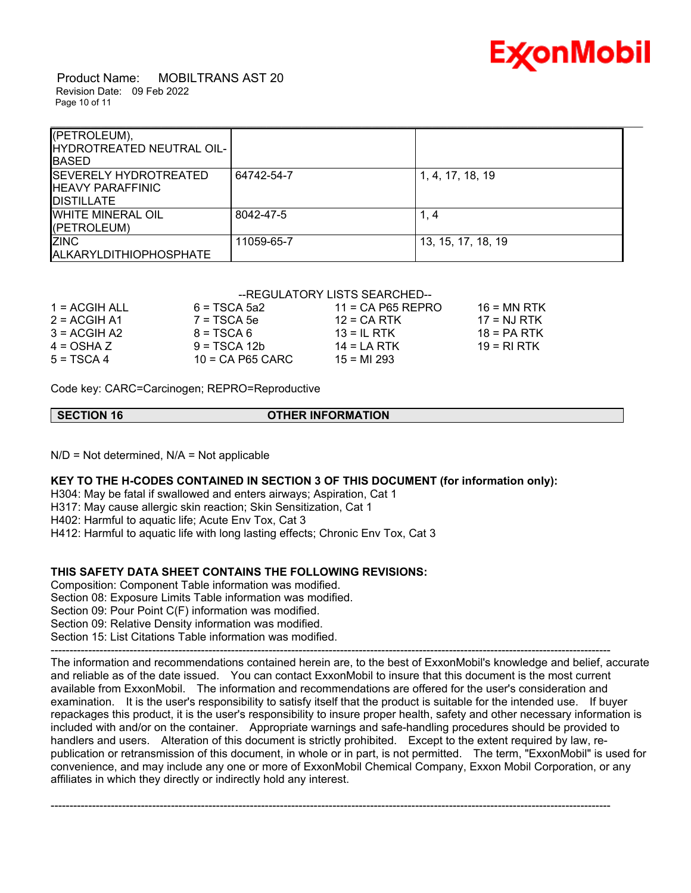

 Product Name: MOBILTRANS AST 20 Revision Date: 09 Feb 2022 Page 10 of 11

| (PETROLEUM),<br>HYDROTREATED NEUTRAL OIL-<br><b>BASED</b>                      |            |                    |
|--------------------------------------------------------------------------------|------------|--------------------|
| <b>ISEVERELY HYDROTREATED</b><br><b>HEAVY PARAFFINIC</b><br><b>IDISTILLATE</b> | 64742-54-7 | 1, 4, 17, 18, 19   |
| <b>WHITE MINERAL OIL</b><br>(PETROLEUM)                                        | 8042-47-5  | 1, 4               |
| <b>ZINC</b><br><b>ALKARYLDITHIOPHOSPHATE</b>                                   | 11059-65-7 | 13, 15, 17, 18, 19 |

### --REGULATORY LISTS SEARCHED--

| $1 = ACGIH ALL$ | $6 = TSCA$ 5a2     | $11 = CA$ P65 REPRO | 16 = MN RTK   |
|-----------------|--------------------|---------------------|---------------|
| $2 = ACGIH A1$  | $7 = TSCA5e$       | $12$ = CA RTK       | 17 = NJ RTK   |
| $3 = ACGH A2$   | $8 = TSCA6$        | $13 = IL$ RTK       | $18 = PA RTK$ |
| $4 = OSHA Z$    | $9 = TSCA 12b$     | $14 = I A RTK$      | 19 = RI RTK   |
| $5 = TSCA4$     | $10 = CA$ P65 CARC | $15 = M1293$        |               |

Code key: CARC=Carcinogen; REPRO=Reproductive

| SECTION 16 | <b>OTHER INFORMATION</b> |  |
|------------|--------------------------|--|
|            |                          |  |

 $N/D$  = Not determined,  $N/A$  = Not applicable

**KEY TO THE H-CODES CONTAINED IN SECTION 3 OF THIS DOCUMENT (for information only):**

H304: May be fatal if swallowed and enters airways; Aspiration, Cat 1

H317: May cause allergic skin reaction; Skin Sensitization, Cat 1

H402: Harmful to aquatic life; Acute Env Tox, Cat 3

H412: Harmful to aquatic life with long lasting effects; Chronic Env Tox, Cat 3

# **THIS SAFETY DATA SHEET CONTAINS THE FOLLOWING REVISIONS:**

Composition: Component Table information was modified. Section 08: Exposure Limits Table information was modified. Section 09: Pour Point C(F) information was modified. Section 09: Relative Density information was modified. Section 15: List Citations Table information was modified. -----------------------------------------------------------------------------------------------------------------------------------------------------

The information and recommendations contained herein are, to the best of ExxonMobil's knowledge and belief, accurate and reliable as of the date issued. You can contact ExxonMobil to insure that this document is the most current available from ExxonMobil. The information and recommendations are offered for the user's consideration and examination. It is the user's responsibility to satisfy itself that the product is suitable for the intended use. If buyer repackages this product, it is the user's responsibility to insure proper health, safety and other necessary information is included with and/or on the container. Appropriate warnings and safe-handling procedures should be provided to handlers and users. Alteration of this document is strictly prohibited. Except to the extent required by law, republication or retransmission of this document, in whole or in part, is not permitted. The term, "ExxonMobil" is used for convenience, and may include any one or more of ExxonMobil Chemical Company, Exxon Mobil Corporation, or any affiliates in which they directly or indirectly hold any interest.

-----------------------------------------------------------------------------------------------------------------------------------------------------